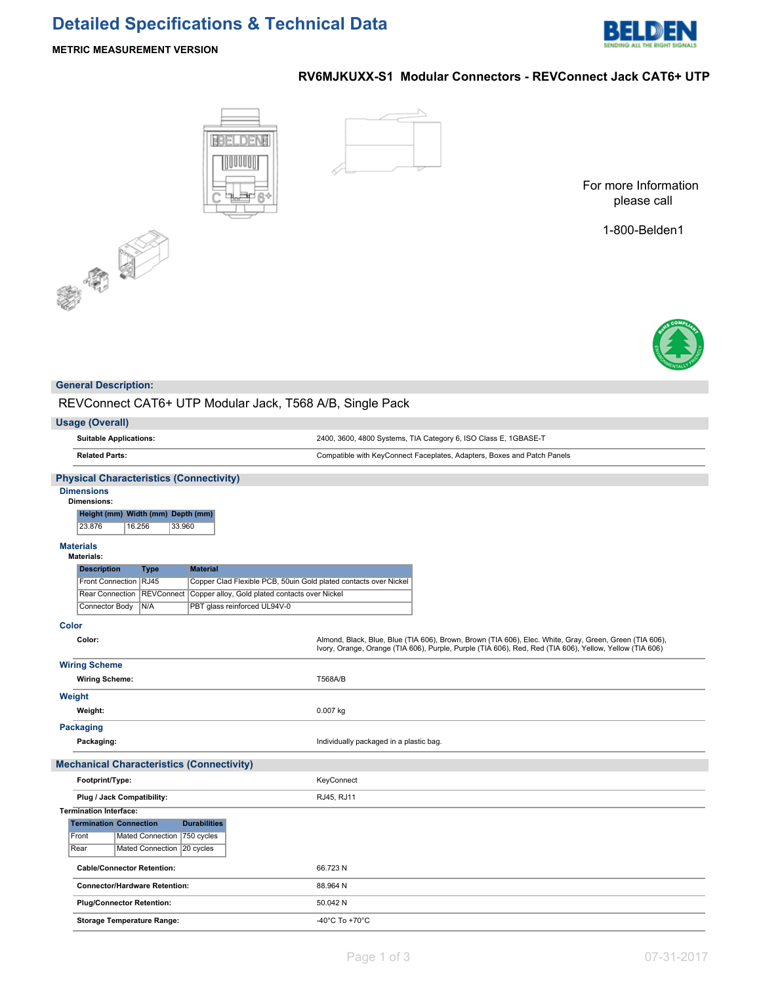# **Detailed Specifications & Technical Data**



## **METRIC MEASUREMENT VERSION**

# **RV6MJKUXX-S1 Modular Connectors - REVConnect Jack CAT6+ UTP**





For more Information please call

1-800-Belden1



| <b>General Description:</b>                                                                                                                                                                |                                                                                                                                                                                                                    |  |  |  |  |
|--------------------------------------------------------------------------------------------------------------------------------------------------------------------------------------------|--------------------------------------------------------------------------------------------------------------------------------------------------------------------------------------------------------------------|--|--|--|--|
| REVConnect CAT6+ UTP Modular Jack, T568 A/B, Single Pack                                                                                                                                   |                                                                                                                                                                                                                    |  |  |  |  |
| <b>Usage (Overall)</b>                                                                                                                                                                     |                                                                                                                                                                                                                    |  |  |  |  |
| <b>Suitable Applications:</b>                                                                                                                                                              | 2400, 3600, 4800 Systems, TIA Category 6, ISO Class E, 1GBASE-T                                                                                                                                                    |  |  |  |  |
| <b>Related Parts:</b>                                                                                                                                                                      | Compatible with KeyConnect Faceplates, Adapters, Boxes and Patch Panels                                                                                                                                            |  |  |  |  |
| <b>Physical Characteristics (Connectivity)</b>                                                                                                                                             |                                                                                                                                                                                                                    |  |  |  |  |
| <b>Dimensions</b>                                                                                                                                                                          |                                                                                                                                                                                                                    |  |  |  |  |
| <b>Dimensions:</b><br>Width (mm) Depth (mm)<br>Height (mm)                                                                                                                                 |                                                                                                                                                                                                                    |  |  |  |  |
| 23.876<br>16.256<br>33.960                                                                                                                                                                 |                                                                                                                                                                                                                    |  |  |  |  |
| <b>Materials</b>                                                                                                                                                                           |                                                                                                                                                                                                                    |  |  |  |  |
| <b>Materials:</b>                                                                                                                                                                          |                                                                                                                                                                                                                    |  |  |  |  |
| <b>Description</b><br><b>Material</b><br><b>Type</b>                                                                                                                                       |                                                                                                                                                                                                                    |  |  |  |  |
| Front Connection RJ45<br>Copper Clad Flexible PCB, 50uin Gold plated contacts over Nickel<br><b>REVConnect</b><br>Copper alloy, Gold plated contacts over Nickel<br><b>Rear Connection</b> |                                                                                                                                                                                                                    |  |  |  |  |
| PBT glass reinforced UL94V-0<br>Connector Body<br>N/A                                                                                                                                      |                                                                                                                                                                                                                    |  |  |  |  |
|                                                                                                                                                                                            |                                                                                                                                                                                                                    |  |  |  |  |
| <b>Color</b>                                                                                                                                                                               |                                                                                                                                                                                                                    |  |  |  |  |
| Color:                                                                                                                                                                                     | Almond, Black, Blue, Blue (TIA 606), Brown, Brown (TIA 606), Elec. White, Gray, Green, Green (TIA 606),<br>Ivory, Orange, Orange (TIA 606), Purple, Purple (TIA 606), Red, Red (TIA 606), Yellow, Yellow (TIA 606) |  |  |  |  |
| <b>Wiring Scheme</b>                                                                                                                                                                       |                                                                                                                                                                                                                    |  |  |  |  |
| <b>Wiring Scheme:</b>                                                                                                                                                                      | <b>T568A/B</b>                                                                                                                                                                                                     |  |  |  |  |
| Weight                                                                                                                                                                                     |                                                                                                                                                                                                                    |  |  |  |  |
| Weight:                                                                                                                                                                                    | 0.007 kg                                                                                                                                                                                                           |  |  |  |  |
| <b>Packaging</b>                                                                                                                                                                           |                                                                                                                                                                                                                    |  |  |  |  |
| Packaging:                                                                                                                                                                                 | Individually packaged in a plastic bag.                                                                                                                                                                            |  |  |  |  |
| <b>Mechanical Characteristics (Connectivity)</b>                                                                                                                                           |                                                                                                                                                                                                                    |  |  |  |  |
| Footprint/Type:                                                                                                                                                                            | KeyConnect                                                                                                                                                                                                         |  |  |  |  |
| Plug / Jack Compatibility:                                                                                                                                                                 | RJ45, RJ11                                                                                                                                                                                                         |  |  |  |  |
| <b>Termination Interface:</b>                                                                                                                                                              |                                                                                                                                                                                                                    |  |  |  |  |
| <b>Durabilities</b><br><b>Termination Connection</b>                                                                                                                                       |                                                                                                                                                                                                                    |  |  |  |  |
| Front<br>Mated Connection   750 cycles<br>Mated Connection   20 cycles<br>Rear                                                                                                             |                                                                                                                                                                                                                    |  |  |  |  |
| <b>Cable/Connector Retention:</b>                                                                                                                                                          |                                                                                                                                                                                                                    |  |  |  |  |
|                                                                                                                                                                                            | 66.723N                                                                                                                                                                                                            |  |  |  |  |
| <b>Connector/Hardware Retention:</b>                                                                                                                                                       | 88.964 N                                                                                                                                                                                                           |  |  |  |  |
| <b>Plug/Connector Retention:</b>                                                                                                                                                           | 50.042 N                                                                                                                                                                                                           |  |  |  |  |
| <b>Storage Temperature Range:</b>                                                                                                                                                          | -40°C To +70°C                                                                                                                                                                                                     |  |  |  |  |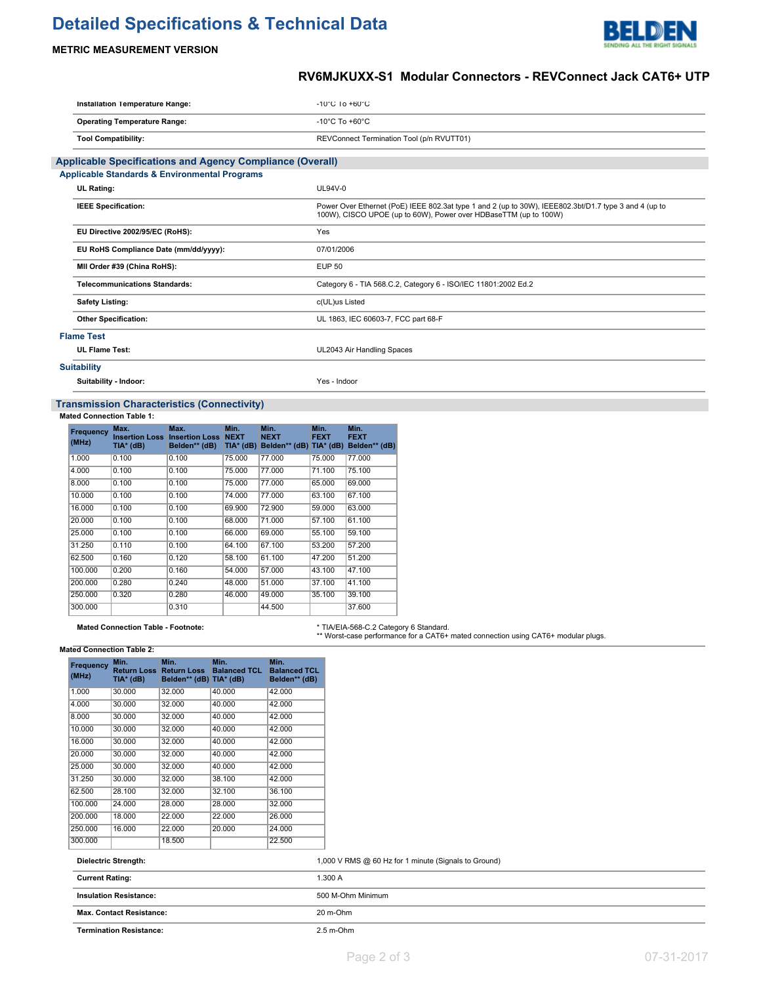# **Detailed Specifications & Technical Data**



### **METRIC MEASUREMENT VERSION**

# **RV6MJKUXX-S1 Modular Connectors - REVConnect Jack CAT6+ UTP**

| Installation Temperature Range:                                  | $-10^{\circ}$ C 10 $+60^{\circ}$ C                                                                                                                                        |
|------------------------------------------------------------------|---------------------------------------------------------------------------------------------------------------------------------------------------------------------------|
| <b>Operating Temperature Range:</b>                              | -10 $^{\circ}$ C To +60 $^{\circ}$ C                                                                                                                                      |
| <b>Tool Compatibility:</b>                                       | REVConnect Termination Tool (p/n RVUTT01)                                                                                                                                 |
| <b>Applicable Specifications and Agency Compliance (Overall)</b> |                                                                                                                                                                           |
| <b>Applicable Standards &amp; Environmental Programs</b>         |                                                                                                                                                                           |
| UL Rating:                                                       | <b>UL94V-0</b>                                                                                                                                                            |
| <b>IEEE Specification:</b>                                       | Power Over Ethernet (PoE) IEEE 802.3at type 1 and 2 (up to 30W), IEEE802.3bt/D1.7 type 3 and 4 (up to<br>100W), CISCO UPOE (up to 60W), Power over HDBaseTTM (up to 100W) |
| EU Directive 2002/95/EC (RoHS):                                  | Yes                                                                                                                                                                       |
| EU RoHS Compliance Date (mm/dd/yyyy):                            | 07/01/2006                                                                                                                                                                |
| MII Order #39 (China RoHS):                                      | <b>EUP 50</b>                                                                                                                                                             |
| <b>Telecommunications Standards:</b>                             | Category 6 - TIA 568.C.2, Category 6 - ISO/IEC 11801:2002 Ed.2                                                                                                            |
| <b>Safety Listing:</b>                                           | c(UL)us Listed                                                                                                                                                            |
| <b>Other Specification:</b>                                      | UL 1863, IEC 60603-7, FCC part 68-F                                                                                                                                       |
| <b>Flame Test</b>                                                |                                                                                                                                                                           |
| <b>UL Flame Test:</b>                                            | UL2043 Air Handling Spaces                                                                                                                                                |
| <b>Suitability</b>                                               |                                                                                                                                                                           |
| Suitability - Indoor:                                            | Yes - Indoor                                                                                                                                                              |

### **Transmission Characteristics (Connectivity)**

#### **Mated Connection Table 1:**

| Frequency<br>(MHz) | Max.<br><b>Insertion Loss</b><br>TIA* (dB) | Max.<br><b>Insertion Loss</b><br>Belden** (dB) | Min.<br><b>NEXT</b><br>$TIA*$ (dB) | Min.<br><b>NEXT</b><br>Belden** (dB) TIA* (dB) | Min.<br><b>FEXT</b> | Min.<br><b>FEXT</b><br>Belden** (dB) |
|--------------------|--------------------------------------------|------------------------------------------------|------------------------------------|------------------------------------------------|---------------------|--------------------------------------|
| 1.000              | 0.100                                      | 0.100                                          | 75,000                             | 77.000                                         | 75.000              | 77.000                               |
| 4.000              | 0.100                                      | 0.100                                          | 75,000                             | 77.000                                         | 71.100              | 75.100                               |
| 8.000              | 0.100                                      | 0.100                                          | 75,000                             | 77.000                                         | 65.000              | 69.000                               |
| 10.000             | 0.100                                      | 0.100                                          | 74.000                             | 77,000                                         | 63.100              | 67.100                               |
| 16.000             | 0.100                                      | 0.100                                          | 69.900                             | 72.900                                         | 59.000              | 63.000                               |
| 20,000             | 0.100                                      | 0.100                                          | 68,000                             | 71.000                                         | 57.100              | 61.100                               |
| 25.000             | 0.100                                      | 0.100                                          | 66,000                             | 69,000                                         | 55.100              | 59.100                               |
| 31.250             | 0.110                                      | 0.100                                          | 64.100                             | 67.100                                         | 53.200              | 57.200                               |
| 62.500             | 0.160                                      | 0.120                                          | 58.100                             | 61.100                                         | 47.200              | 51.200                               |
| 100.000            | 0.200                                      | 0.160                                          | 54.000                             | 57.000                                         | 43.100              | 47.100                               |
| 200.000            | 0.280                                      | 0.240                                          | 48.000                             | 51.000                                         | 37.100              | 41.100                               |
| 250,000            | 0.320                                      | 0.280                                          | 46.000                             | 49.000                                         | 35.100              | 39.100                               |
| 300.000            |                                            | 0.310                                          |                                    | 44.500                                         |                     | 37,600                               |

Mated Connection Table - Footnote: **\* TIA/EIA-568-C.2 Category 6 Standard.**<br>\*\* Worst-case performance for a CAT6+ mated connection using CAT6+ modular plugs.

| Frequency<br>(MHz) | Min.<br><b>Return Loss</b><br>TIA* (dB) | Min.<br><b>Return Loss</b><br>Belden** (dB) TIA* (dB) | Min.<br><b>Balanced TCL</b> | Min.<br><b>Balanced TCL</b><br>Belden** (dB) |
|--------------------|-----------------------------------------|-------------------------------------------------------|-----------------------------|----------------------------------------------|
| 1.000              | 30.000                                  | 32.000                                                | 40.000                      | 42.000                                       |
| 4.000              | 30.000                                  | 32.000                                                | 40.000                      | 42.000                                       |
| 8.000              | 30.000                                  | 32.000                                                | 40.000                      | 42.000                                       |
| 10.000             | 30.000                                  | 32.000                                                | 40.000                      | 42.000                                       |
| 16.000             | 30.000                                  | 32.000                                                | 40.000                      | 42.000                                       |
| 20.000             | 30.000                                  | 32.000                                                | 40.000                      | 42.000                                       |
| 25.000             | 30.000                                  | 32.000                                                | 40.000                      | 42.000                                       |
| 31.250             | 30.000                                  | 32.000                                                | 38.100                      | 42.000                                       |
| 62.500             | 28.100                                  | 32.000                                                | 32.100                      | 36.100                                       |
| 100.000            | 24.000                                  | 28.000                                                | 28.000                      | 32.000                                       |
| 200.000            | 18.000                                  | 22.000                                                | 22.000                      | 26.000                                       |
| 250.000            | 16.000                                  | 22.000                                                | 20.000                      | 24.000                                       |
| 300.000            |                                         | 18.500                                                |                             | 22.500                                       |

| <b>Max. Contact Resistance:</b> | 20 m-Ohm                                             |
|---------------------------------|------------------------------------------------------|
| <b>Insulation Resistance:</b>   | 500 M-Ohm Minimum                                    |
| <b>Current Rating:</b>          | 1.300A                                               |
| <b>Dielectric Strength:</b>     | 1,000 V RMS @ 60 Hz for 1 minute (Signals to Ground) |

**Termination Resistance:** 2.5 m-Ohm